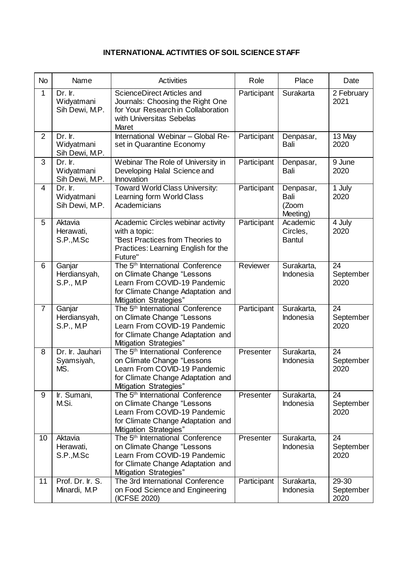## **INTERNATIONAL ACTIVITIES OF SOIL SCIENCE STAFF**

| <b>No</b>      | Name                                       | <b>Activities</b>                                                                                                                                                         | Role        | Place                                  | Date                       |
|----------------|--------------------------------------------|---------------------------------------------------------------------------------------------------------------------------------------------------------------------------|-------------|----------------------------------------|----------------------------|
| 1              | Dr. Ir.<br>Widyatmani<br>Sih Dewi, M.P.    | ScienceDirect Articles and<br>Journals: Choosing the Right One<br>for Your Research in Collaboration<br>with Universitas Sebelas<br>Maret                                 | Participant | Surakarta                              | 2 February<br>2021         |
| $\overline{2}$ | Dr. Ir.<br>Widyatmani<br>Sih Dewi, M.P.    | International Webinar - Global Re-<br>set in Quarantine Economy                                                                                                           | Participant | Denpasar,<br>Bali                      | 13 May<br>2020             |
| 3              | Dr. Ir.<br>Widyatmani<br>Sih Dewi, M.P.    | Webinar The Role of University in<br>Developing Halal Science and<br>Innovation                                                                                           | Participant | Denpasar,<br>Bali                      | 9 June<br>2020             |
| 4              | Dr. Ir.<br>Widyatmani<br>Sih Dewi, M.P.    | <b>Toward World Class University:</b><br>Learning form World Class<br>Academicians                                                                                        | Participant | Denpasar,<br>Bali<br>(Zoom<br>Meeting) | 1 July<br>2020             |
| 5              | Aktavia<br>Herawati,<br>S.P., M.Sc         | Academic Circles webinar activity<br>with a topic:<br>"Best Practices from Theories to<br>Practices: Learning English for the<br>Future"                                  | Participant | Academic<br>Circles,<br><b>Bantul</b>  | 4 July<br>2020             |
| 6              | Ganjar<br>Herdiansyah,<br><b>S.P., M.P</b> | The 5 <sup>th</sup> International Conference<br>on Climate Change "Lessons<br>Learn From COVID-19 Pandemic<br>for Climate Change Adaptation and<br>Mitigation Strategies" | Reviewer    | Surakarta,<br>Indonesia                | 24<br>September<br>2020    |
| $\overline{7}$ | Ganjar<br>Herdiansyah,<br>S.P., M.P        | The 5 <sup>th</sup> International Conference<br>on Climate Change "Lessons<br>Learn From COVID-19 Pandemic<br>for Climate Change Adaptation and<br>Mitigation Strategies" | Participant | Surakarta,<br>Indonesia                | 24<br>September<br>2020    |
| 8              | Dr. Ir. Jauhari<br>Syamsiyah,<br>MS.       | The 5 <sup>th</sup> International Conference<br>on Climate Change "Lessons<br>Learn From COVID-19 Pandemic<br>for Climate Change Adaptation and<br>Mitigation Strategies" | Presenter   | Surakarta,<br>Indonesia                | 24<br>September<br>2020    |
| 9              | Ir. Sumani,<br>M.Si.                       | The 5 <sup>th</sup> International Conference<br>on Climate Change "Lessons<br>Learn From COVID-19 Pandemic<br>for Climate Change Adaptation and<br>Mitigation Strategies" | Presenter   | Surakarta,<br>Indonesia                | 24<br>September<br>2020    |
| 10             | Aktavia<br>Herawati,<br>S.P., M.Sc         | The 5 <sup>th</sup> International Conference<br>on Climate Change "Lessons<br>Learn From COVID-19 Pandemic<br>for Climate Change Adaptation and<br>Mitigation Strategies" | Presenter   | Surakarta,<br>Indonesia                | 24<br>September<br>2020    |
| 11             | Prof. Dr. Ir. S.<br>Minardi, M.P           | The 3rd International Conference<br>on Food Science and Engineering<br>(ICFSE 2020)                                                                                       | Participant | Surakarta,<br>Indonesia                | 29-30<br>September<br>2020 |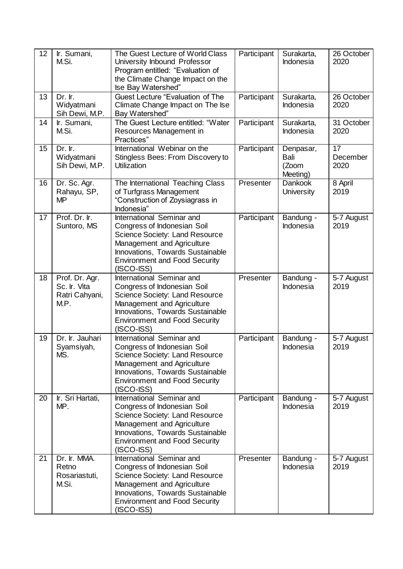| 12 | Ir. Sumani,<br>M.Si.                                     | The Guest Lecture of World Class<br>University Inbound Professor<br>Program entitled: "Evaluation of<br>the Climate Change Impact on the<br>Ise Bay Watershed"                                                       | Participant | Surakarta,<br>Indonesia                | 26 October<br>2020     |
|----|----------------------------------------------------------|----------------------------------------------------------------------------------------------------------------------------------------------------------------------------------------------------------------------|-------------|----------------------------------------|------------------------|
| 13 | Dr. Ir.<br>Widyatmani<br>Sih Dewi, M.P.                  | <b>Guest Lecture "Evaluation of The</b><br>Climate Change Impact on The Ise<br>Bay Watershed"                                                                                                                        | Participant | Surakarta,<br>Indonesia                | 26 October<br>2020     |
| 14 | Ir. Sumani,<br>M.Si.                                     | The Guest Lecture entitled: "Water<br>Resources Management in<br>Practices"                                                                                                                                          | Participant | Surakarta,<br>Indonesia                | 31 October<br>2020     |
| 15 | Dr. Ir.<br>Widyatmani<br>Sih Dewi, M.P.                  | International Webinar on the<br>Stingless Bees: From Discovery to<br><b>Utilization</b>                                                                                                                              | Participant | Denpasar,<br>Bali<br>(Zoom<br>Meeting) | 17<br>December<br>2020 |
| 16 | Dr. Sc. Agr.<br>Rahayu, SP,<br><b>MP</b>                 | The International Teaching Class<br>of Turfgrass Management<br>"Construction of Zoysiagrass in<br>Indonesia"                                                                                                         | Presenter   | <b>Dankook</b><br>University           | 8 April<br>2019        |
| 17 | Prof. Dr. Ir.<br>Suntoro, MS                             | International Seminar and<br>Congress of Indonesian Soil<br>Science Society: Land Resource<br>Management and Agriculture<br>Innovations, Towards Sustainable<br><b>Environment and Food Security</b><br>$(ISCO-ISS)$ | Participant | Bandung -<br>Indonesia                 | 5-7 August<br>2019     |
| 18 | Prof. Dr. Agr.<br>Sc. Ir. Vita<br>Ratri Cahyani,<br>M.P. | International Seminar and<br>Congress of Indonesian Soil<br>Science Society: Land Resource<br>Management and Agriculture<br>Innovations, Towards Sustainable<br><b>Environment and Food Security</b><br>(ISCO-ISS)   | Presenter   | Bandung -<br>Indonesia                 | 5-7 August<br>2019     |
| 19 | Dr. Ir. Jauhari<br>Syamsiyah,<br>MS.                     | International Seminar and<br>Congress of Indonesian Soil<br>Science Society: Land Resource<br>Management and Agriculture<br>Innovations, Towards Sustainable<br><b>Environment and Food Security</b><br>$(ISCO-ISS)$ | Participant | Bandung -<br>Indonesia                 | 5-7 August<br>2019     |
| 20 | Ir. Sri Hartati,<br>MP.                                  | International Seminar and<br>Congress of Indonesian Soil<br>Science Society: Land Resource<br>Management and Agriculture<br>Innovations, Towards Sustainable<br><b>Environment and Food Security</b><br>$(ISCO-ISS)$ | Participant | Bandung -<br>Indonesia                 | 5-7 August<br>2019     |
| 21 | Dr. Ir. MMA.<br>Retno<br>Rosariastuti,<br>M.Si.          | International Seminar and<br>Congress of Indonesian Soil<br>Science Society: Land Resource<br>Management and Agriculture<br>Innovations, Towards Sustainable<br><b>Environment and Food Security</b><br>$(ISCO-ISS)$ | Presenter   | Bandung -<br>Indonesia                 | 5-7 August<br>2019     |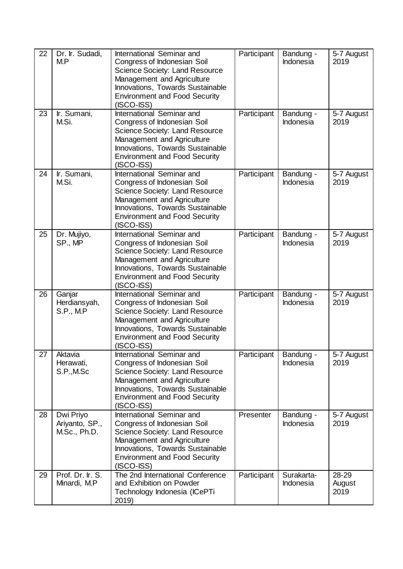| 22 | Dr. Ir. Sudadi,<br>M.P                      | International Seminar and<br>Congress of Indonesian Soil<br>Science Society: Land Resource<br>Management and Agriculture<br>Innovations, Towards Sustainable<br><b>Environment and Food Security</b><br>(ISCO-ISS)        | Participant | Bandung -<br>Indonesia         | 5-7 August<br>2019      |
|----|---------------------------------------------|---------------------------------------------------------------------------------------------------------------------------------------------------------------------------------------------------------------------------|-------------|--------------------------------|-------------------------|
| 23 | Ir. Sumani,<br>M.Si.                        | International Seminar and<br>Congress of Indonesian Soil<br>Science Society: Land Resource<br>Management and Agriculture<br>Innovations, Towards Sustainable<br><b>Environment and Food Security</b><br>$(ISCO-ISS)$      | Participant | Bandung -<br><b>Indonesia</b>  | 5-7 August<br>2019      |
| 24 | Ir. Sumani,<br>M.Si.                        | International Seminar and<br>Congress of Indonesian Soil<br><b>Science Society: Land Resource</b><br>Management and Agriculture<br>Innovations, Towards Sustainable<br><b>Environment and Food Security</b><br>(ISCO-ISS) | Participant | Bandung -<br><b>Indonesia</b>  | 5-7 August<br>2019      |
| 25 | Dr. Mujiyo,<br>SP., MP                      | International Seminar and<br>Congress of Indonesian Soil<br>Science Society: Land Resource<br>Management and Agriculture<br>Innovations, Towards Sustainable<br><b>Environment and Food Security</b><br>(ISCO-ISS)        | Participant | Bandung -<br><b>Indonesia</b>  | 5-7 August<br>2019      |
| 26 | Ganjar<br>Herdiansyah,<br>S.P., M.P         | International Seminar and<br>Congress of Indonesian Soil<br>Science Society: Land Resource<br>Management and Agriculture<br>Innovations, Towards Sustainable<br><b>Environment and Food Security</b><br>(ISCO-ISS)        | Participant | Bandung -<br>Indonesia         | 5-7 August<br>2019      |
| 27 | Aktavia<br>Herawati,<br>S.P.,M.Sc           | International Seminar and<br>Congress of Indonesian Soil<br>Science Society: Land Resource<br>Management and Agriculture<br>Innovations, Towards Sustainable<br><b>Environment and Food Security</b><br>(ISCO-ISS)        | Participant | Bandung -<br>Indonesia         | 5-7 August<br>2019      |
| 28 | Dwi Priyo<br>Ariyanto, SP.,<br>M.Sc., Ph.D. | International Seminar and<br>Congress of Indonesian Soil<br>Science Society: Land Resource<br>Management and Agriculture<br>Innovations, Towards Sustainable<br><b>Environment and Food Security</b><br>$(ISCO-ISS)$      | Presenter   | Bandung -<br><b>Indonesia</b>  | 5-7 August<br>2019      |
| 29 | Prof. Dr. Ir. S.<br>Minardi, M.P            | The 2nd International Conference<br>and Exhibition on Powder<br>Technology Indonesia (ICePTi<br>2019)                                                                                                                     | Participant | Surakarta-<br><b>Indonesia</b> | 28-29<br>August<br>2019 |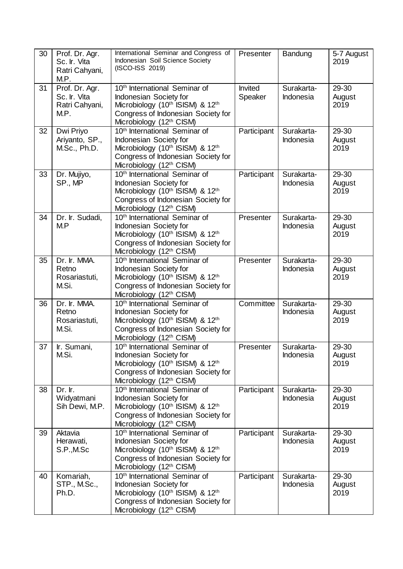| 30 | Prof. Dr. Agr.<br>Sc. Ir. Vita<br>Ratri Cahyani,<br>M.P. | International Seminar and Congress of<br>Indonesian Soil Science Society<br>(ISCO-ISS 2019)                                                                                           | Presenter          | Bandung                 | 5-7 August<br>2019      |
|----|----------------------------------------------------------|---------------------------------------------------------------------------------------------------------------------------------------------------------------------------------------|--------------------|-------------------------|-------------------------|
| 31 | Prof. Dr. Agr.<br>Sc. Ir. Vita<br>Ratri Cahyani,<br>M.P. | 10 <sup>th</sup> International Seminar of<br>Indonesian Society for<br>Microbiology (10th ISISM) & 12th<br>Congress of Indonesian Society for<br>Microbiology (12th CISM)             | Invited<br>Speaker | Surakarta-<br>Indonesia | 29-30<br>August<br>2019 |
| 32 | Dwi Priyo<br>Ariyanto, SP.,<br>M.Sc., Ph.D.              | 10 <sup>th</sup> International Seminar of<br>Indonesian Society for<br>Microbiology (10th ISISM) & 12th<br>Congress of Indonesian Society for<br>Microbiology (12th CISM)             | Participant        | Surakarta-<br>Indonesia | 29-30<br>August<br>2019 |
| 33 | Dr. Mujiyo,<br>SP., MP                                   | 10 <sup>th</sup> International Seminar of<br>Indonesian Society for<br>Microbiology (10th ISISM) & 12th<br>Congress of Indonesian Society for<br>Microbiology (12th CISM)             | Participant        | Surakarta-<br>Indonesia | 29-30<br>August<br>2019 |
| 34 | Dr. Ir. Sudadi,<br>M.P                                   | 10 <sup>th</sup> International Seminar of<br>Indonesian Society for<br>Microbiology (10th ISISM) & 12th<br>Congress of Indonesian Society for<br>Microbiology (12th CISM)             | Presenter          | Surakarta-<br>Indonesia | 29-30<br>August<br>2019 |
| 35 | Dr. Ir. MMA.<br>Retno<br>Rosariastuti,<br>M.Si.          | 10 <sup>th</sup> International Seminar of<br>Indonesian Society for<br>Microbiology (10th ISISM) & 12th<br>Congress of Indonesian Society for<br>Microbiology (12th CISM)             | Presenter          | Surakarta-<br>Indonesia | 29-30<br>August<br>2019 |
| 36 | Dr. Ir. MMA.<br>Retno<br>Rosariastuti,<br>M.Si.          | 10 <sup>th</sup> International Seminar of<br>Indonesian Society for<br>Microbiology (10th ISISM) & 12th<br>Congress of Indonesian Society for<br>Microbiology (12th CISM)             | Committee          | Surakarta-<br>Indonesia | 29-30<br>August<br>2019 |
| 37 | Ir. Sumani,<br>M.Si.                                     | 10 <sup>th</sup> International Seminar of<br>Indonesian Society for<br>Microbiology (10th ISISM) & 12th<br>Congress of Indonesian Society for<br>Microbiology (12th CISM)             | Presenter          | Surakarta-<br>Indonesia | 29-30<br>August<br>2019 |
| 38 | Dr. Ir.<br>Widyatmani<br>Sih Dewi, M.P.                  | 10 <sup>th</sup> International Seminar of<br>Indonesian Society for<br>Microbiology (10th ISISM) & 12th<br>Congress of Indonesian Society for<br>Microbiology (12 <sup>th</sup> CISM) | Participant        | Surakarta-<br>Indonesia | 29-30<br>August<br>2019 |
| 39 | Aktavia<br>Herawati,<br>S.P., M.Sc                       | 10 <sup>th</sup> International Seminar of<br>Indonesian Society for<br>Microbiology (10th ISISM) & 12th<br>Congress of Indonesian Society for<br>Microbiology (12th CISM)             | Participant        | Surakarta-<br>Indonesia | 29-30<br>August<br>2019 |
| 40 | Komariah,<br>STP., M.Sc.,<br>Ph.D.                       | 10 <sup>th</sup> International Seminar of<br>Indonesian Society for<br>Microbiology (10th ISISM) & 12th<br>Congress of Indonesian Society for<br>Microbiology (12th CISM)             | Participant        | Surakarta-<br>Indonesia | 29-30<br>August<br>2019 |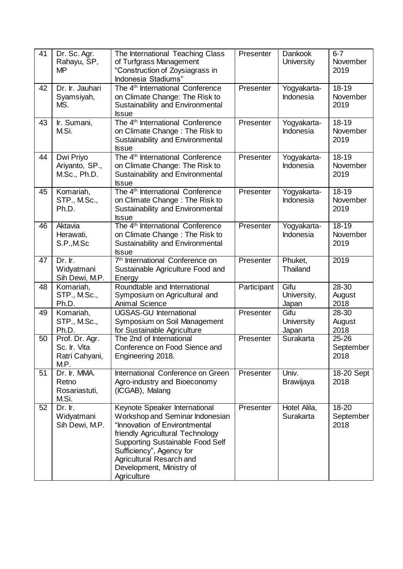| 41 | Dr. Sc. Agr.<br>Rahayu, SP,<br><b>MP</b>                 | The International Teaching Class<br>of Turfgrass Management<br>"Construction of Zoysiagrass in<br>Indonesia Stadiums"                                                                                                                                                               | Presenter   | <b>Dankook</b><br>University       | $6 - 7$<br>November<br>2019               |
|----|----------------------------------------------------------|-------------------------------------------------------------------------------------------------------------------------------------------------------------------------------------------------------------------------------------------------------------------------------------|-------------|------------------------------------|-------------------------------------------|
| 42 | Dr. Ir. Jauhari<br>Syamsiyah,<br>MS.                     | The 4 <sup>th</sup> International Conference<br>on Climate Change: The Risk to<br>Sustainability and Environmental<br><b>Issue</b>                                                                                                                                                  | Presenter   | Yogyakarta-<br>Indonesia           | 18-19<br>November<br>2019                 |
| 43 | Ir. Sumani,<br>M.Si.                                     | The 4 <sup>th</sup> International Conference<br>on Climate Change: The Risk to<br>Sustainability and Environmental<br><b>Issue</b>                                                                                                                                                  | Presenter   | Yogyakarta-<br>Indonesia           | $18 - 19$<br>November<br>2019             |
| 44 | Dwi Priyo<br>Ariyanto, SP.,<br>M.Sc., Ph.D.              | The 4 <sup>th</sup> International Conference<br>on Climate Change: The Risk to<br>Sustainability and Environmental<br><b>Issue</b>                                                                                                                                                  | Presenter   | Yogyakarta-<br>Indonesia           | $18 - 19$<br>November<br>2019             |
| 45 | Komariah,<br>STP., M.Sc.,<br>Ph.D.                       | The 4 <sup>th</sup> International Conference<br>on Climate Change: The Risk to<br>Sustainability and Environmental<br><b>Issue</b>                                                                                                                                                  | Presenter   | Yogyakarta-<br>Indonesia           | $18 - 19$<br>November<br>2019             |
| 46 | Aktavia<br>Herawati,<br>S.P.,M.Sc                        | The 4 <sup>th</sup> International Conference<br>on Climate Change: The Risk to<br>Sustainability and Environmental<br><b>Issue</b>                                                                                                                                                  | Presenter   | Yogyakarta-<br>Indonesia           | $18 - 19$<br>November<br>2019             |
| 47 | Dr. Ir.<br>Widyatmani<br>Sih Dewi, M.P.                  | 7 <sup>th</sup> International Conference on<br>Sustainable Agriculture Food and<br>Energy                                                                                                                                                                                           | Presenter   | Phuket,<br>Thailand                | 2019                                      |
| 48 | Komariah,<br>STP., M.Sc.,<br>Ph.D.                       | Roundtable and International<br>Symposium on Agricultural and<br><b>Animal Science</b>                                                                                                                                                                                              | Participant | Gifu<br>University,<br>Japan       | 28-30<br>August<br>2018                   |
| 49 | Komariah,<br>STP., M.Sc.,<br>Ph.D.                       | <b>UGSAS-GU International</b><br>Symposium on Soil Management<br>for Sustainable Agriculture                                                                                                                                                                                        | Presenter   | Gifu<br><b>University</b><br>Japan | 28-30<br>August<br>2018                   |
| 50 | Prof. Dr. Agr.<br>Sc. Ir. Vita<br>Ratri Cahyani,<br>M.P. | The 2nd of International<br>Conference on Food Sience and<br>Engineering 2018.                                                                                                                                                                                                      | Presenter   | Surakarta                          | $\overline{2}5 - 26$<br>September<br>2018 |
| 51 | Dr. Ir. MMA.<br>Retno<br>Rosariastuti,<br>M.Si.          | International Conference on Green<br>Agro-industry and Bioeconomy<br>(ICGAB), Malang                                                                                                                                                                                                | Presenter   | Univ.<br><b>Brawijaya</b>          | 18-20 Sept<br>2018                        |
| 52 | Dr. Ir.<br>Widyatmani<br>Sih Dewi, M.P.                  | Keynote Speaker International<br>Workshop and Seminar Indonesian<br>"Innovation of Environtmental<br>friendly Agricultural Technology<br><b>Supporting Sustainable Food Self</b><br>Sufficiency", Agency for<br>Agricultural Resarch and<br>Development, Ministry of<br>Agriculture | Presenter   | Hotel Alila,<br><b>Surakarta</b>   | 18-20<br>September<br>2018                |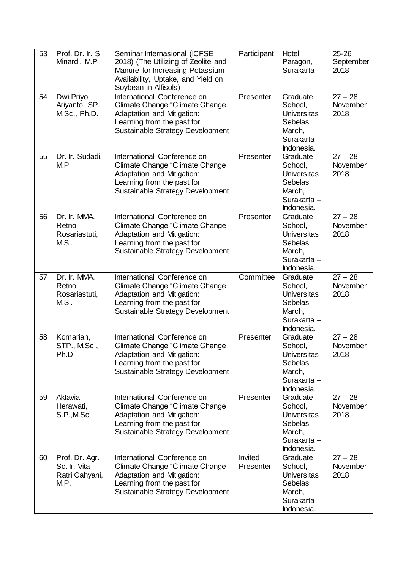| 53 | Prof. Dr. Ir. S.<br>Minardi, M.P                         | Seminar Internasional (ICFSE<br>2018) (The Utilizing of Zeolite and<br>Manure for Increasing Potassium<br>Availability, Uptake, and Yield on<br>Soybean in Alfisols) | Participant                 | Hotel<br>Paragon,<br>Surakarta                                                                     | $25 - 26$<br>September<br>2018 |
|----|----------------------------------------------------------|----------------------------------------------------------------------------------------------------------------------------------------------------------------------|-----------------------------|----------------------------------------------------------------------------------------------------|--------------------------------|
| 54 | Dwi Priyo<br>Ariyanto, SP.,<br>M.Sc., Ph.D.              | International Conference on<br><b>Climate Change "Climate Change</b><br>Adaptation and Mitigation:<br>Learning from the past for<br>Sustainable Strategy Development | Presenter                   | Graduate<br>School,<br><b>Universitas</b><br><b>Sebelas</b><br>March,<br>Surakarta -<br>Indonesia. | $27 - 28$<br>November<br>2018  |
| 55 | Dr. Ir. Sudadi,<br>M.P                                   | International Conference on<br>Climate Change "Climate Change<br>Adaptation and Mitigation:<br>Learning from the past for<br>Sustainable Strategy Development        | Presenter                   | Graduate<br>School,<br><b>Universitas</b><br>Sebelas<br>March,<br>Surakarta -<br>Indonesia.        | $27 - 28$<br>November<br>2018  |
| 56 | Dr. Ir. MMA.<br>Retno<br>Rosariastuti,<br>M.Si.          | International Conference on<br>Climate Change "Climate Change<br><b>Adaptation and Mitigation:</b><br>Learning from the past for<br>Sustainable Strategy Development | Presenter                   | Graduate<br>School,<br><b>Universitas</b><br><b>Sebelas</b><br>March,<br>Surakarta -<br>Indonesia. | $27 - 28$<br>November<br>2018  |
| 57 | Dr. Ir. MMA.<br>Retno<br>Rosariastuti,<br>M.Si.          | International Conference on<br>Climate Change "Climate Change<br>Adaptation and Mitigation:<br>Learning from the past for<br>Sustainable Strategy Development        | Committee                   | Graduate<br>School,<br><b>Universitas</b><br><b>Sebelas</b><br>March,<br>Surakarta -<br>Indonesia. | $27 - 28$<br>November<br>2018  |
| 58 | Komariah,<br>STP., M.Sc.,<br>Ph.D.                       | International Conference on<br>Climate Change "Climate Change<br>Adaptation and Mitigation:<br>Learning from the past for<br>Sustainable Strategy Development        | Presenter                   | Graduate<br>School,<br><b>Universitas</b><br><b>Sebelas</b><br>March,<br>Surakarta -<br>Indonesia. | $27 - 28$<br>November<br>2018  |
| 59 | Aktavia<br>Herawati,<br>S.P.,M.Sc                        | International Conference on<br>Climate Change "Climate Change<br>Adaptation and Mitigation:<br>Learning from the past for<br>Sustainable Strategy Development        | Presenter                   | Graduate<br>School,<br><b>Universitas</b><br><b>Sebelas</b><br>March,<br>Surakarta -<br>Indonesia. | $27 - 28$<br>November<br>2018  |
| 60 | Prof. Dr. Agr.<br>Sc. Ir. Vita<br>Ratri Cahyani,<br>M.P. | International Conference on<br>Climate Change "Climate Change<br><b>Adaptation and Mitigation:</b><br>Learning from the past for<br>Sustainable Strategy Development | <b>Invited</b><br>Presenter | Graduate<br>School,<br><b>Universitas</b><br>Sebelas<br>March,<br>Surakarta -<br>Indonesia.        | $27 - 28$<br>November<br>2018  |